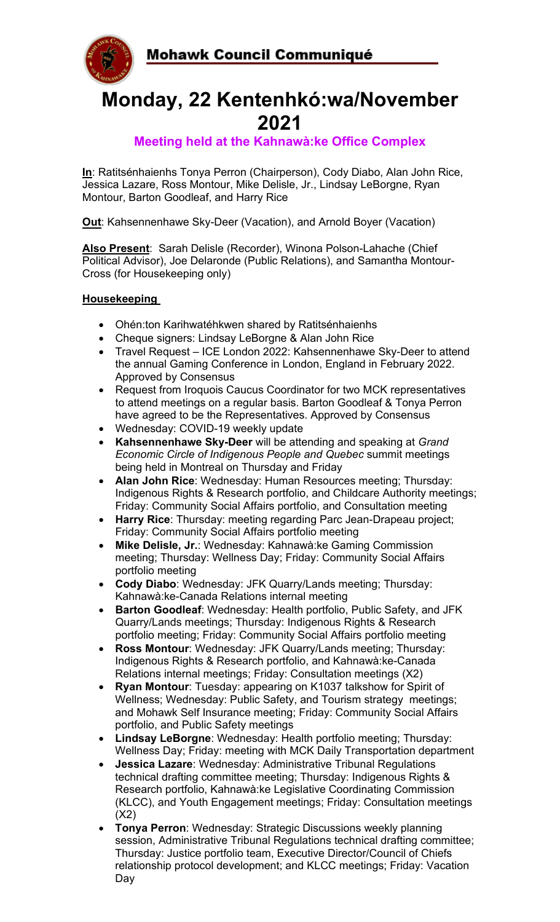Mohawk Council Communiqué



# **Monday, 22 Kentenhkó:wa/November 2021**

## **Meeting held at the Kahnawà:ke Office Complex**

**In**: Ratitsénhaienhs Tonya Perron (Chairperson), Cody Diabo, Alan John Rice, Jessica Lazare, Ross Montour, Mike Delisle, Jr., Lindsay LeBorgne, Ryan Montour, Barton Goodleaf, and Harry Rice

**Out**: Kahsennenhawe Sky-Deer (Vacation), and Arnold Boyer (Vacation)

**Also Present**: Sarah Delisle (Recorder), Winona Polson-Lahache (Chief Political Advisor), Joe Delaronde (Public Relations), and Samantha Montour-Cross (for Housekeeping only)

#### **Housekeeping**

- Ohén:ton Karihwatéhkwen shared by Ratitsénhaienhs
- Cheque signers: Lindsay LeBorgne & Alan John Rice
- Travel Request ICE London 2022: Kahsennenhawe Sky-Deer to attend the annual Gaming Conference in London, England in February 2022. Approved by Consensus
- Request from Iroquois Caucus Coordinator for two MCK representatives to attend meetings on a regular basis. Barton Goodleaf & Tonya Perron have agreed to be the Representatives. Approved by Consensus
- Wednesday: COVID-19 weekly update
- **Kahsennenhawe Sky-Deer** will be attending and speaking at *Grand Economic Circle of Indigenous People and Quebec* summit meetings being held in Montreal on Thursday and Friday
- **Alan John Rice**: Wednesday: Human Resources meeting; Thursday: Indigenous Rights & Research portfolio, and Childcare Authority meetings; Friday: Community Social Affairs portfolio, and Consultation meeting
- **Harry Rice**: Thursday: meeting regarding Parc Jean-Drapeau project; Friday: Community Social Affairs portfolio meeting
- **Mike Delisle, Jr.**: Wednesday: Kahnawà:ke Gaming Commission meeting; Thursday: Wellness Day; Friday: Community Social Affairs portfolio meeting
- **Cody Diabo**: Wednesday: JFK Quarry/Lands meeting; Thursday: Kahnawà:ke-Canada Relations internal meeting
- **Barton Goodleaf**: Wednesday: Health portfolio, Public Safety, and JFK Quarry/Lands meetings; Thursday: Indigenous Rights & Research portfolio meeting; Friday: Community Social Affairs portfolio meeting
- **Ross Montour:** Wednesday: JFK Quarry/Lands meeting; Thursday: Indigenous Rights & Research portfolio, and Kahnawà:ke-Canada Relations internal meetings; Friday: Consultation meetings (X2)
- **Ryan Montour**: Tuesday: appearing on K1037 talkshow for Spirit of Wellness; Wednesday: Public Safety, and Tourism strategy meetings; and Mohawk Self Insurance meeting; Friday: Community Social Affairs portfolio, and Public Safety meetings
- **Lindsay LeBorgne**: Wednesday: Health portfolio meeting; Thursday: Wellness Day; Friday: meeting with MCK Daily Transportation department
- **Jessica Lazare**: Wednesday: Administrative Tribunal Regulations technical drafting committee meeting; Thursday: Indigenous Rights & Research portfolio, Kahnawà:ke Legislative Coordinating Commission (KLCC), and Youth Engagement meetings; Friday: Consultation meetings (X2)
- **Tonya Perron**: Wednesday: Strategic Discussions weekly planning session, Administrative Tribunal Regulations technical drafting committee; Thursday: Justice portfolio team, Executive Director/Council of Chiefs relationship protocol development; and KLCC meetings; Friday: Vacation Day